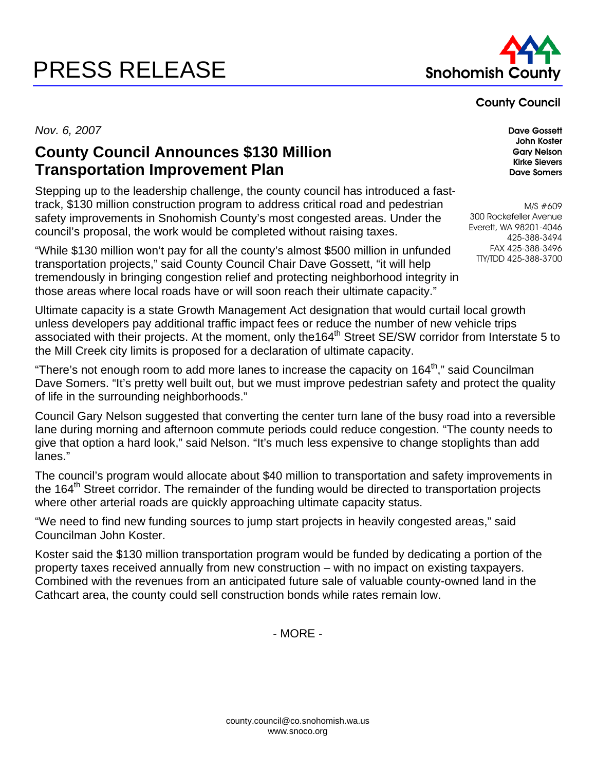## PRESS RELEASE Snohomish Co



## County Council

*Nov. 6, 2007* Dave Gossett

## **County Council Announces \$130 Million Transportation Improvement Plan**

Stepping up to the leadership challenge, the county council has introduced a fasttrack, \$130 million construction program to address critical road and pedestrian safety improvements in Snohomish County's most congested areas. Under the council's proposal, the work would be completed without raising taxes.

"While \$130 million won't pay for all the county's almost \$500 million in unfunded transportation projects," said County Council Chair Dave Gossett, "it will help tremendously in bringing congestion relief and protecting neighborhood integrity in those areas where local roads have or will soon reach their ultimate capacity."

Ultimate capacity is a state Growth Management Act designation that would curtail local growth unless developers pay additional traffic impact fees or reduce the number of new vehicle trips associated with their projects. At the moment, only the164<sup>th</sup> Street SE/SW corridor from Interstate 5 to the Mill Creek city limits is proposed for a declaration of ultimate capacity.

"There's not enough room to add more lanes to increase the capacity on  $164<sup>th</sup>$ ," said Councilman Dave Somers. "It's pretty well built out, but we must improve pedestrian safety and protect the quality of life in the surrounding neighborhoods."

Council Gary Nelson suggested that converting the center turn lane of the busy road into a reversible lane during morning and afternoon commute periods could reduce congestion. "The county needs to give that option a hard look," said Nelson. "It's much less expensive to change stoplights than add lanes."

The council's program would allocate about \$40 million to transportation and safety improvements in the 164<sup>th</sup> Street corridor. The remainder of the funding would be directed to transportation projects where other arterial roads are quickly approaching ultimate capacity status.

"We need to find new funding sources to jump start projects in heavily congested areas," said Councilman John Koster.

Koster said the \$130 million transportation program would be funded by dedicating a portion of the property taxes received annually from new construction – with no impact on existing taxpayers. Combined with the revenues from an anticipated future sale of valuable county-owned land in the Cathcart area, the county could sell construction bonds while rates remain low.

- MORE -

John Koster Gary Nelson Kirke Sievers Dave Somers

M/S #609 300 Rockefeller Avenue Everett, WA 98201-4046 425-388-3494 FAX 425-388-3496 TTY/TDD 425-388-3700